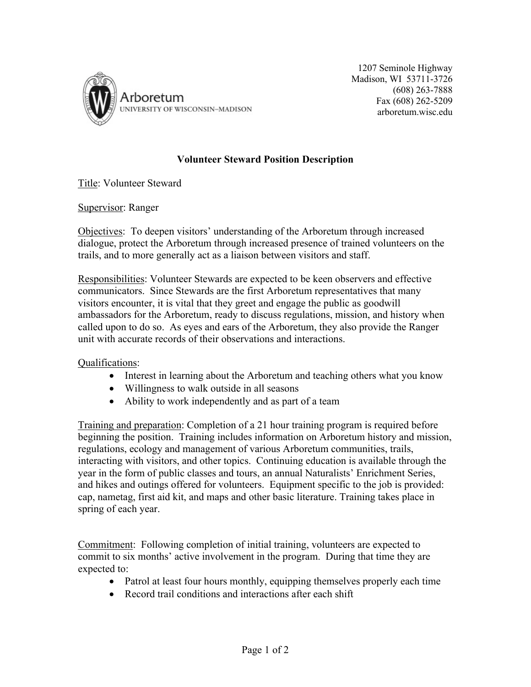

1207 Seminole Highway Madison, WI 53711-3726 (608) 263-7888 Fax (608) 262-5209 arboretum.wisc.edu

## **Volunteer Steward Position Description**

Title: Volunteer Steward

## Supervisor: Ranger

Objectives:To deepen visitors' understanding of the Arboretum through increased dialogue, protect the Arboretum through increased presence of trained volunteers on the trails, and to more generally act as a liaison between visitors and staff.

Responsibilities: Volunteer Stewards are expected to be keen observers and effective communicators. Since Stewards are the first Arboretum representatives that many visitors encounter, it is vital that they greet and engage the public as goodwill ambassadors for the Arboretum, ready to discuss regulations, mission, and history when called upon to do so. As eyes and ears of the Arboretum, they also provide the Ranger unit with accurate records of their observations and interactions.

## Qualifications:

- Interest in learning about the Arboretum and teaching others what you know
- Willingness to walk outside in all seasons
- Ability to work independently and as part of a team

Training and preparation: Completion of a 21 hour training program is required before beginning the position. Training includes information on Arboretum history and mission, regulations, ecology and management of various Arboretum communities, trails, interacting with visitors, and other topics. Continuing education is available through the year in the form of public classes and tours, an annual Naturalists' Enrichment Series, and hikes and outings offered for volunteers. Equipment specific to the job is provided: cap, nametag, first aid kit, and maps and other basic literature. Training takes place in spring of each year.

Commitment:Following completion of initial training, volunteers are expected to commit to six months' active involvement in the program. During that time they are expected to:

- Patrol at least four hours monthly, equipping themselves properly each time
- Record trail conditions and interactions after each shift